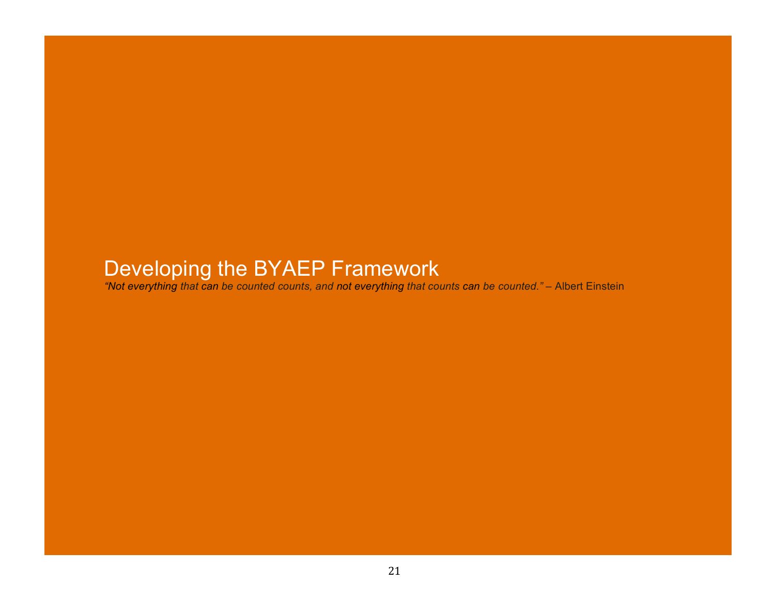# Developing the BYAEP Framework

*"Not everything that can be counted counts, and not everything that counts can be counted."* – Albert Einstein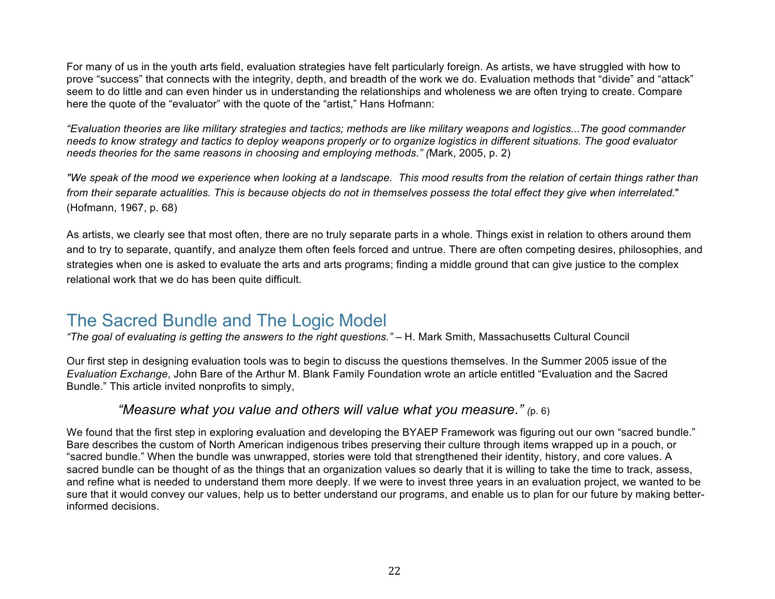For many of us in the youth arts field, evaluation strategies have felt particularly foreign. As artists, we have struggled with how to prove "success" that connects with the integrity, depth, and breadth of the work we do. Evaluation methods that "divide" and "attack" seem to do little and can even hinder us in understanding the relationships and wholeness we are often trying to create. Compare here the quote of the "evaluator" with the quote of the "artist," Hans Hofmann:

*"Evaluation theories are like military strategies and tactics; methods are like military weapons and logistics...The good commander needs to know strategy and tactics to deploy weapons properly or to organize logistics in different situations. The good evaluator needs theories for the same reasons in choosing and employing methods." (*Mark, 2005, p. 2)

*"We speak of the mood we experience when looking at a landscape. This mood results from the relation of certain things rather than from their separate actualities. This is because objects do not in themselves possess the total effect they give when interrelated.*" (Hofmann, 1967, p. 68)

As artists, we clearly see that most often, there are no truly separate parts in a whole. Things exist in relation to others around them and to try to separate, quantify, and analyze them often feels forced and untrue. There are often competing desires, philosophies, and strategies when one is asked to evaluate the arts and arts programs; finding a middle ground that can give justice to the complex relational work that we do has been quite difficult.

### The Sacred Bundle and The Logic Model

*"The goal of evaluating is getting the answers to the right questions."* – H. Mark Smith, Massachusetts Cultural Council

Our first step in designing evaluation tools was to begin to discuss the questions themselves. In the Summer 2005 issue of the *Evaluation Exchange*, John Bare of the Arthur M. Blank Family Foundation wrote an article entitled "Evaluation and the Sacred Bundle." This article invited nonprofits to simply,

#### *"Measure what you value and others will value what you measure." (*p. 6)

We found that the first step in exploring evaluation and developing the BYAEP Framework was figuring out our own "sacred bundle." Bare describes the custom of North American indigenous tribes preserving their culture through items wrapped up in a pouch, or "sacred bundle." When the bundle was unwrapped, stories were told that strengthened their identity, history, and core values. A sacred bundle can be thought of as the things that an organization values so dearly that it is willing to take the time to track, assess, and refine what is needed to understand them more deeply. If we were to invest three years in an evaluation project, we wanted to be sure that it would convey our values, help us to better understand our programs, and enable us to plan for our future by making betterinformed decisions.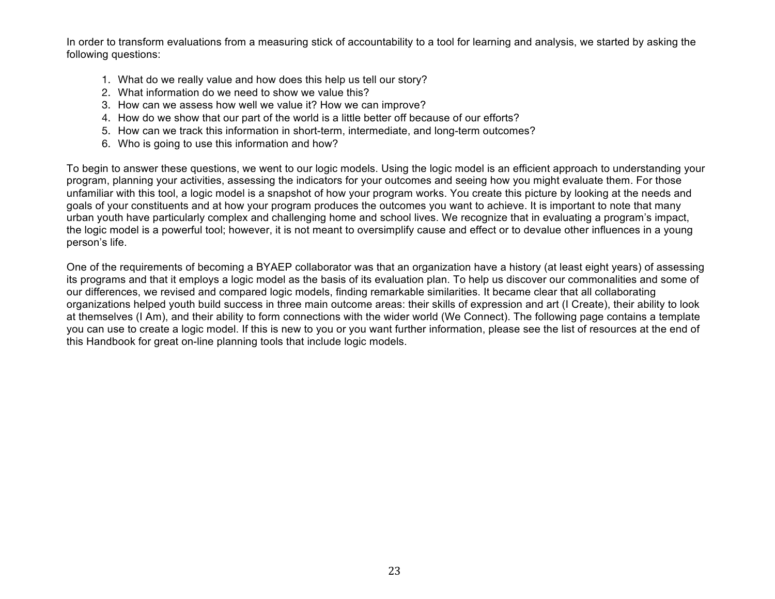In order to transform evaluations from a measuring stick of accountability to a tool for learning and analysis, we started by asking the following questions:

- 1. What do we really value and how does this help us tell our story?
- 2. What information do we need to show we value this?
- 3. How can we assess how well we value it? How we can improve?
- 4. How do we show that our part of the world is a little better off because of our efforts?
- 5. How can we track this information in short-term, intermediate, and long-term outcomes?
- 6. Who is going to use this information and how?

To begin to answer these questions, we went to our logic models. Using the logic model is an efficient approach to understanding your program, planning your activities, assessing the indicators for your outcomes and seeing how you might evaluate them. For those unfamiliar with this tool, a logic model is a snapshot of how your program works. You create this picture by looking at the needs and goals of your constituents and at how your program produces the outcomes you want to achieve. It is important to note that many urban youth have particularly complex and challenging home and school lives. We recognize that in evaluating a program's impact, the logic model is a powerful tool; however, it is not meant to oversimplify cause and effect or to devalue other influences in a young person's life.

One of the requirements of becoming a BYAEP collaborator was that an organization have a history (at least eight years) of assessing its programs and that it employs a logic model as the basis of its evaluation plan. To help us discover our commonalities and some of our differences, we revised and compared logic models, finding remarkable similarities. It became clear that all collaborating organizations helped youth build success in three main outcome areas: their skills of expression and art (I Create), their ability to look at themselves (I Am), and their ability to form connections with the wider world (We Connect). The following page contains a template you can use to create a logic model. If this is new to you or you want further information, please see the list of resources at the end of this Handbook for great on-line planning tools that include logic models.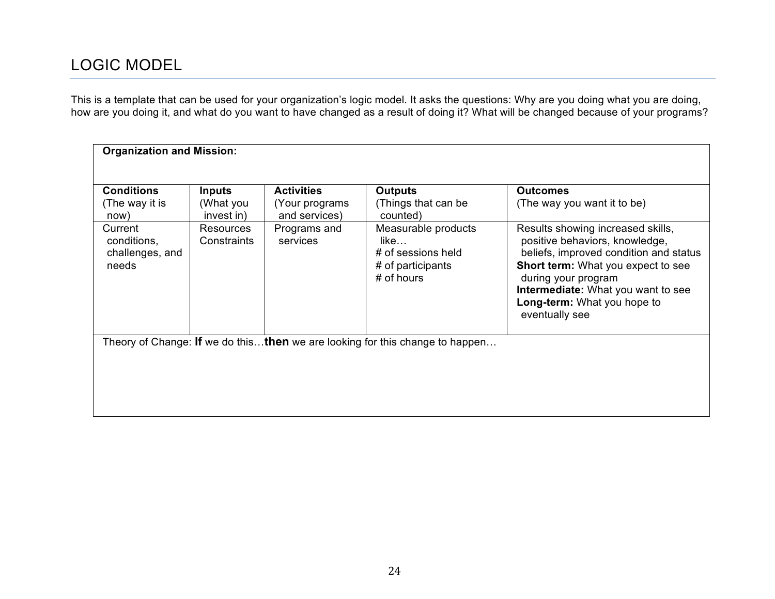### LOGIC MODEL

This is a template that can be used for your organization's logic model. It asks the questions: Why are you doing what you are doing, how are you doing it, and what do you want to have changed as a result of doing it? What will be changed because of your programs?

| <b>Organization and Mission:</b>                                             |                                 |                                      |                                                                                        |                                                                                                                                                                                                                                                                          |  |  |  |  |  |
|------------------------------------------------------------------------------|---------------------------------|--------------------------------------|----------------------------------------------------------------------------------------|--------------------------------------------------------------------------------------------------------------------------------------------------------------------------------------------------------------------------------------------------------------------------|--|--|--|--|--|
|                                                                              |                                 |                                      |                                                                                        |                                                                                                                                                                                                                                                                          |  |  |  |  |  |
| <b>Conditions</b><br>(The way it is                                          | <b>Inputs</b><br>(What you      | <b>Activities</b><br>(Your programs) | <b>Outputs</b><br>(Things that can be                                                  | <b>Outcomes</b><br>(The way you want it to be)                                                                                                                                                                                                                           |  |  |  |  |  |
| now)                                                                         | invest in)                      | and services)                        | counted)                                                                               |                                                                                                                                                                                                                                                                          |  |  |  |  |  |
| Current<br>conditions,<br>challenges, and<br>needs                           | <b>Resources</b><br>Constraints | Programs and<br>services             | Measurable products<br>like<br># of sessions held<br># of participants<br>$#$ of hours | Results showing increased skills,<br>positive behaviors, knowledge,<br>beliefs, improved condition and status<br><b>Short term:</b> What you expect to see<br>during your program<br>Intermediate: What you want to see<br>Long-term: What you hope to<br>eventually see |  |  |  |  |  |
| Theory of Change: If we do thisthen we are looking for this change to happen |                                 |                                      |                                                                                        |                                                                                                                                                                                                                                                                          |  |  |  |  |  |
|                                                                              |                                 |                                      |                                                                                        |                                                                                                                                                                                                                                                                          |  |  |  |  |  |
|                                                                              |                                 |                                      |                                                                                        |                                                                                                                                                                                                                                                                          |  |  |  |  |  |
|                                                                              |                                 |                                      |                                                                                        |                                                                                                                                                                                                                                                                          |  |  |  |  |  |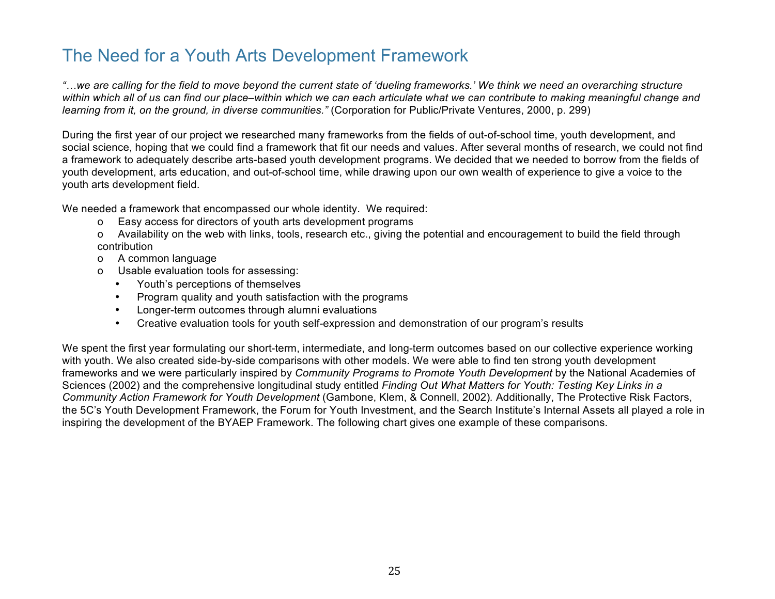## The Need for a Youth Arts Development Framework

*"!we are calling for the field to move beyond the current state of 'dueling frameworks.' We think we need an overarching structure within which all of us can find our place–within which we can each articulate what we can contribute to making meaningful change and learning from it, on the ground, in diverse communities."* (Corporation for Public/Private Ventures, 2000, p. 299)

During the first year of our project we researched many frameworks from the fields of out-of-school time, youth development, and social science, hoping that we could find a framework that fit our needs and values. After several months of research, we could not find a framework to adequately describe arts-based youth development programs. We decided that we needed to borrow from the fields of youth development, arts education, and out-of-school time, while drawing upon our own wealth of experience to give a voice to the youth arts development field.

We needed a framework that encompassed our whole identity. We required:

- o Easy access for directors of youth arts development programs
- o Availability on the web with links, tools, research etc., giving the potential and encouragement to build the field through contribution
- o A common language
- o Usable evaluation tools for assessing:
	- Youth's perceptions of themselves
	- Program quality and youth satisfaction with the programs
	- Longer-term outcomes through alumni evaluations
	- Creative evaluation tools for youth self-expression and demonstration of our program's results

We spent the first year formulating our short-term, intermediate, and long-term outcomes based on our collective experience working with youth. We also created side-by-side comparisons with other models. We were able to find ten strong youth development frameworks and we were particularly inspired by *Community Programs to Promote Youth Development* by the National Academies of Sciences (2002) and the comprehensive longitudinal study entitled *Finding Out What Matters for Youth: Testing Key Links in a Community Action Framework for Youth Development* (Gambone, Klem, & Connell, 2002)*.* Additionally, The Protective Risk Factors, the 5C's Youth Development Framework, the Forum for Youth Investment, and the Search Institute's Internal Assets all played a role in inspiring the development of the BYAEP Framework. The following chart gives one example of these comparisons.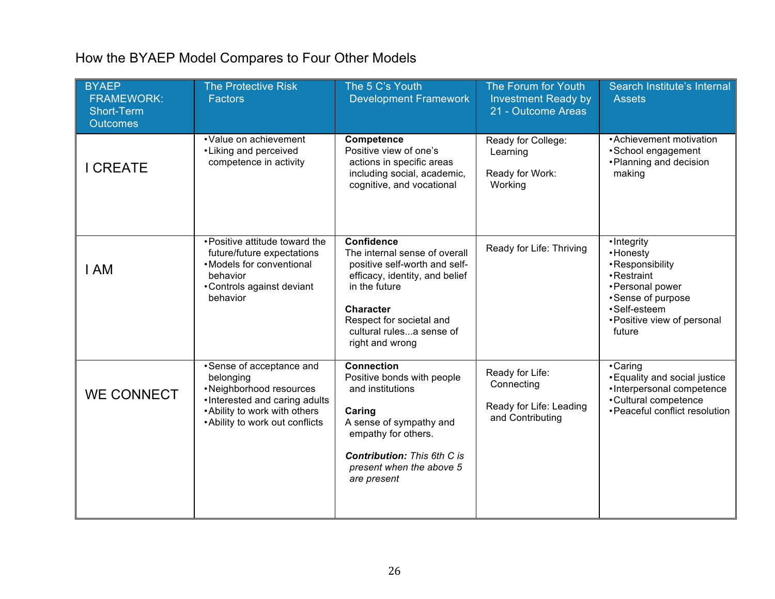## How the BYAEP Model Compares to Four Other Models

| <b>BYAEP</b><br><b>FRAMEWORK:</b><br><b>Short-Term</b><br><b>Outcomes</b> | <b>The Protective Risk</b><br><b>Factors</b>                                                                                                                          | The 5 C's Youth<br><b>Development Framework</b>                                                                                                                                                                                       | The Forum for Youth<br><b>Investment Ready by</b><br>21 - Outcome Areas      | Search Institute's Internal<br><b>Assets</b>                                                                                                                 |
|---------------------------------------------------------------------------|-----------------------------------------------------------------------------------------------------------------------------------------------------------------------|---------------------------------------------------------------------------------------------------------------------------------------------------------------------------------------------------------------------------------------|------------------------------------------------------------------------------|--------------------------------------------------------------------------------------------------------------------------------------------------------------|
| <b>I CREATE</b>                                                           | • Value on achievement<br>• Liking and perceived<br>competence in activity                                                                                            | Competence<br>Positive view of one's<br>actions in specific areas<br>including social, academic,<br>cognitive, and vocational                                                                                                         | Ready for College:<br>Learning<br>Ready for Work:<br>Working                 | • Achievement motivation<br>•School engagement<br>• Planning and decision<br>making                                                                          |
| I AM                                                                      | • Positive attitude toward the<br>future/future expectations<br>• Models for conventional<br>behavior<br>•Controls against deviant<br>behavior                        | <b>Confidence</b><br>The internal sense of overall<br>positive self-worth and self-<br>efficacy, identity, and belief<br>in the future<br><b>Character</b><br>Respect for societal and<br>cultural rulesa sense of<br>right and wrong | Ready for Life: Thriving                                                     | • Integrity<br>• Honesty<br>•Responsibility<br>• Restraint<br>• Personal power<br>•Sense of purpose<br>·Self-esteem<br>• Positive view of personal<br>future |
| <b>WE CONNECT</b>                                                         | •Sense of acceptance and<br>belonging<br>•Neighborhood resources<br>•Interested and caring adults<br>• Ability to work with others<br>• Ability to work out conflicts | <b>Connection</b><br>Positive bonds with people<br>and institutions<br>Caring<br>A sense of sympathy and<br>empathy for others.<br><b>Contribution: This 6th C is</b><br>present when the above 5<br>are present                      | Ready for Life:<br>Connecting<br>Ready for Life: Leading<br>and Contributing | •Caring<br>• Equality and social justice<br>•Interpersonal competence<br>•Cultural competence<br>• Peaceful conflict resolution                              |